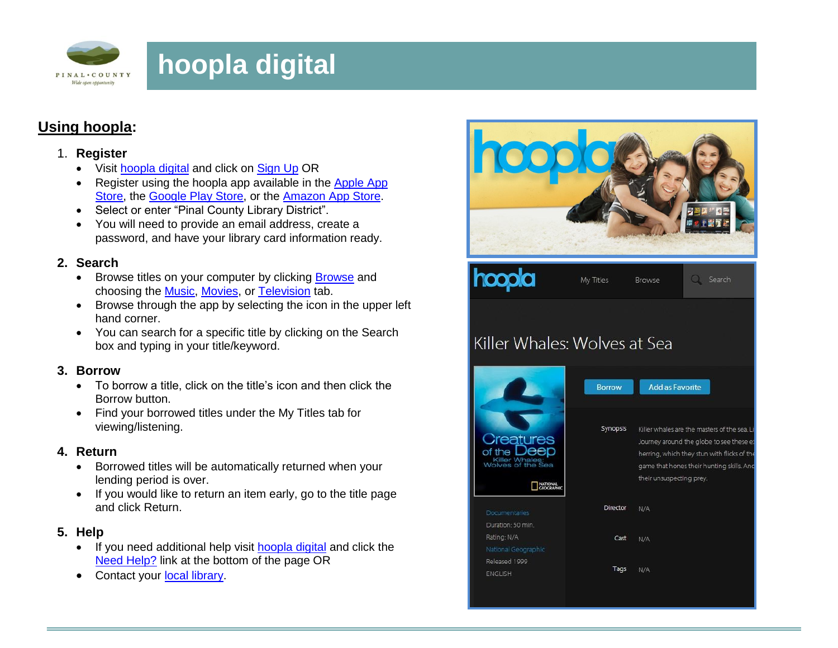

# **hoopla digital**

## **Using hoopla:**

#### 1. **Register**

- Visit [hoopla digital](http://www.hoopladigital.com/) and click on [Sign Up](https://www.hoopladigital.com/register) OR
- Register using the hoopla app available in the Apple App [Store,](https://itunes.apple.com/us/app/hoopla-digital/id580643740?mt=8) the [Google Play Store,](https://play.google.com/store/apps/details?id=com.hoopladigital.android&hl=en) or the [Amazon App Store.](http://www.amazon.com/Hoopla-Digital/dp/B00JMRGQHI/ref=sr_1_1?ie=UTF8&qid=1413582359&sr=8-1&keywords=hoopla+digital)
- Select or enter "Pinal County Library District".
- You will need to provide an email address, create a password, and have your library card information ready.

### **2. Search**

- • [Browse](https://www.hoopladigital.com/browse) titles on your computer by clicking **Browse** and choosing the [Music,](https://www.hoopladigital.com/browse?kind=music) [Movies,](https://www.hoopladigital.com/browse?kind=movie) or [Television](https://www.hoopladigital.com/browse?kind=television) tab.
- Browse through the app by selecting the icon in the upper left hand corner.
- You can search for a specific title by clicking on the Search box and typing in your title/keyword.

## **3. Borrow**

- To borrow a title, click on the title's icon and then click the Borrow button.
- Find your borrowed titles under the My Titles tab for viewing/listening.

## **4. Return**

- Borrowed titles will be automatically returned when your lending period is over.
- If you would like to return an item early, go to the title page and click Return.

## **5. Help**

- If you need additional help visit [hoopla digital](http://www.hoopladigital.com/) and click the [Need Help?](https://www.hoopladigital.com/support) link at the bottom of the page OR
- Contact your [local library.](http://pinalcountyaz.gov/Departments/Library/Locations/Pages/default.aspx)

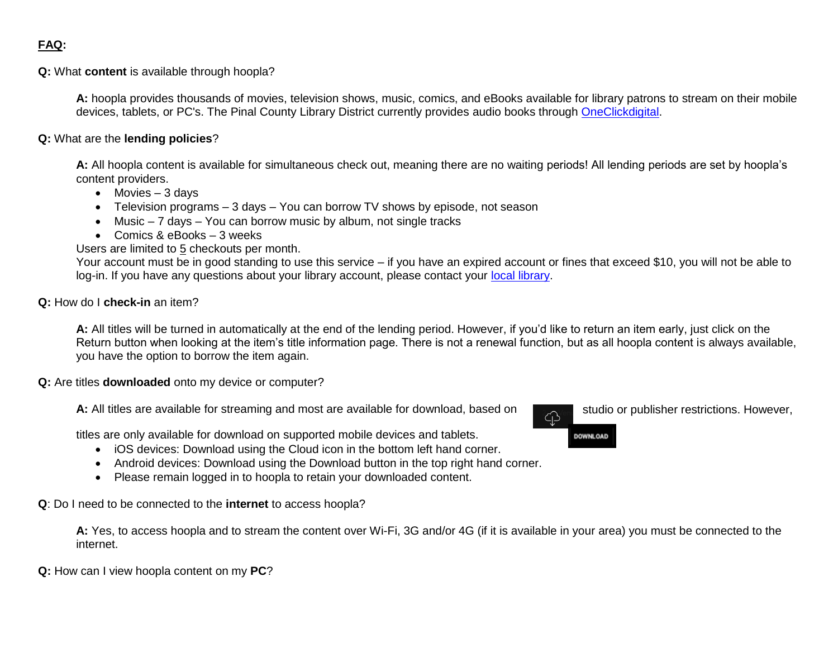**Q:** What **content** is available through hoopla?

**A:** hoopla provides thousands of movies, television shows, music, comics, and eBooks available for library patrons to stream on their mobile devices, tablets, or PC's. The Pinal County Library District currently provides audio books through [OneClickdigital.](http://pinalcoaz.oneclickdigital.com/Home/Whats%20Popular.aspx)

**Q:** What are the **lending policies**?

**A:** All hoopla content is available for simultaneous check out, meaning there are no waiting periods! All lending periods are set by hoopla's content providers.

- $\bullet$  Movies  $-3$  davs
- Television programs 3 days You can borrow TV shows by episode, not season
- Music 7 days You can borrow music by album, not single tracks
- Comics & eBooks 3 weeks

Users are limited to 5 checkouts per month.

Your account must be in good standing to use this service – if you have an expired account or fines that exceed \$10, you will not be able to log-in. If you have any questions about your library account, please contact your [local library.](http://pinalcountyaz.gov/Departments/Library/Locations/Pages/default.aspx)

#### **Q:** How do I **check-in** an item?

**A:** All titles will be turned in automatically at the end of the lending period. However, if you'd like to return an item early, just click on the Return button when looking at the item's title information page. There is not a renewal function, but as all hoopla content is always available, you have the option to borrow the item again.

**Q:** Are titles **downloaded** onto my device or computer?

**A:** All titles are available for streaming and most are available for download, based on studio or publisher restrictions. However,

titles are only available for download on supported mobile devices and tablets.

- iOS devices: Download using the Cloud icon in the bottom left hand corner.
- Android devices: Download using the Download button in the top right hand corner.
- Please remain logged in to hoopla to retain your downloaded content.

**Q**: Do I need to be connected to the **internet** to access hoopla?

**A:** Yes, to access hoopla and to stream the content over Wi-Fi, 3G and/or 4G (if it is available in your area) you must be connected to the internet.

**Q:** How can I view hoopla content on my **PC**?